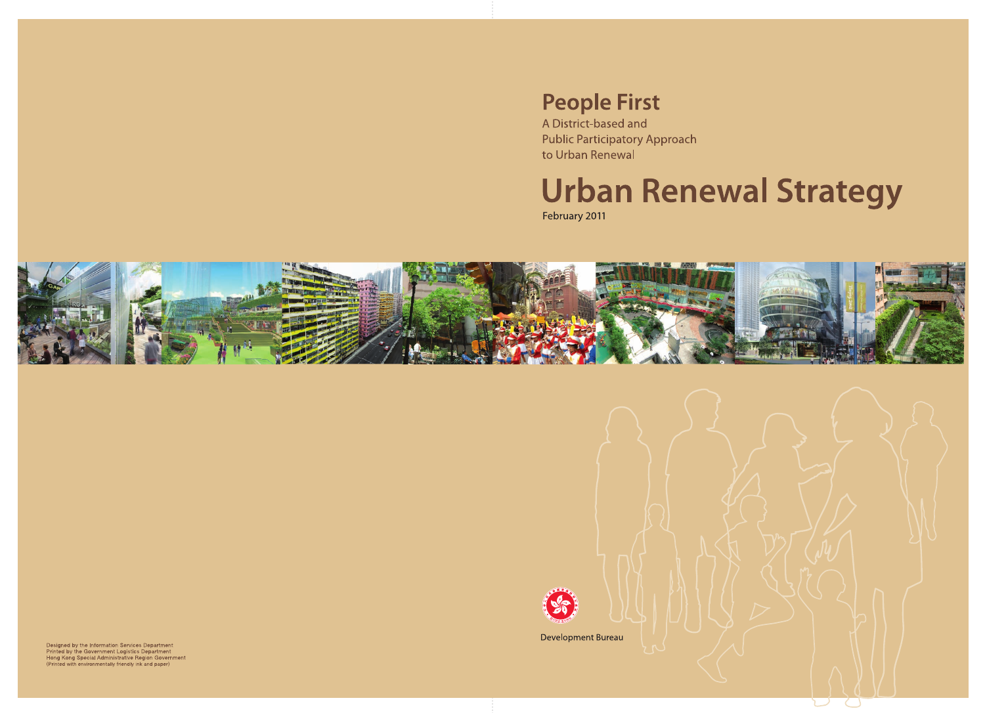# **People First**

A District-based and **Public Participatory Approach** to Urban Renewal

# **Urban Renewal Strategy**

February 2011





Development Bureau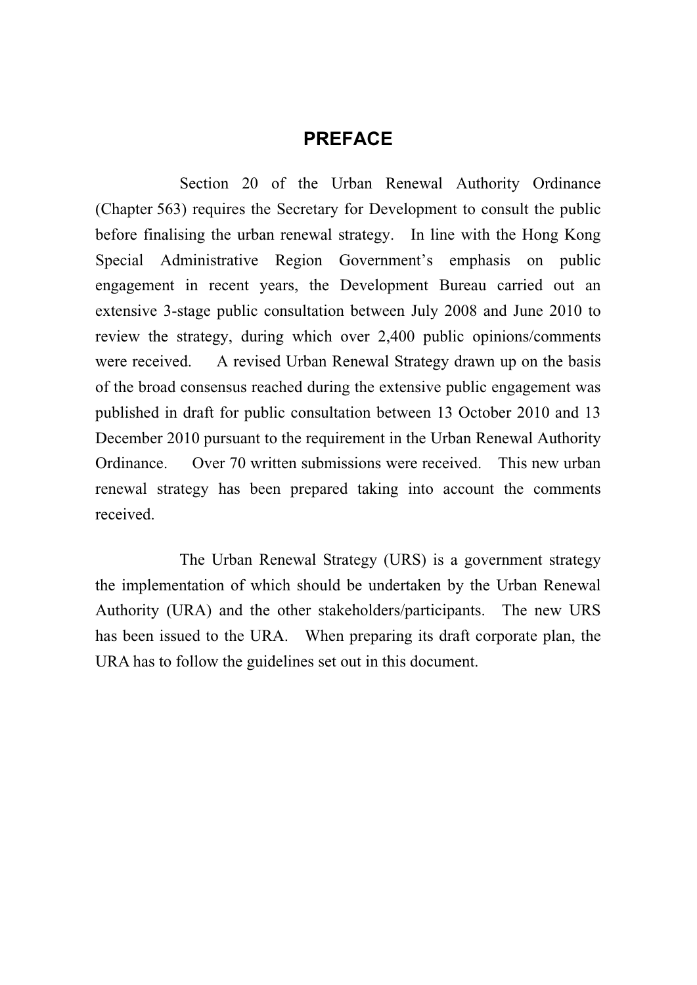#### **PREFACE**

 Section 20 of the Urban Renewal Authority Ordinance (Chapter 563) requires the Secretary for Development to consult the public before finalising the urban renewal strategy. In line with the Hong Kong Special Administrative Region Government's emphasis on public engagement in recent years, the Development Bureau carried out an extensive 3-stage public consultation between July 2008 and June 2010 to review the strategy, during which over 2,400 public opinions/comments were received. A revised Urban Renewal Strategy drawn up on the basis of the broad consensus reached during the extensive public engagement was published in draft for public consultation between 13 October 2010 and 13 December 2010 pursuant to the requirement in the Urban Renewal Authority Ordinance. Over 70 written submissions were received. This new urban renewal strategy has been prepared taking into account the comments received.

 The Urban Renewal Strategy (URS) is a government strategy the implementation of which should be undertaken by the Urban Renewal Authority (URA) and the other stakeholders/participants. The new URS has been issued to the URA. When preparing its draft corporate plan, the URA has to follow the guidelines set out in this document.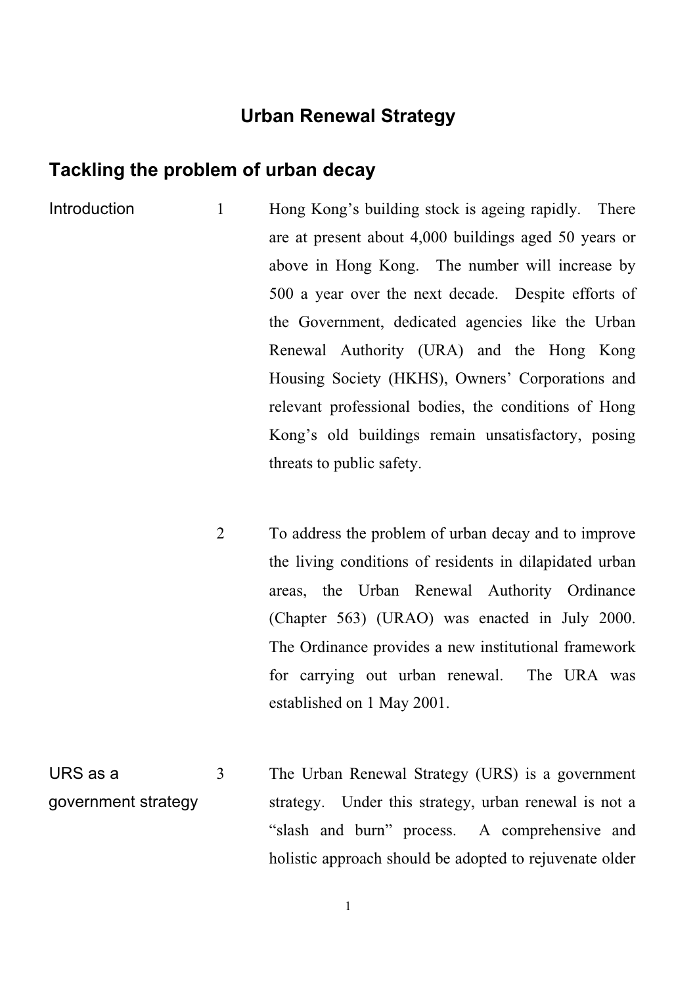#### **Urban Renewal Strategy**

#### **Tackling the problem of urban decay**

- Introduction 1 Hong Kong's building stock is ageing rapidly. There are at present about 4,000 buildings aged 50 years or above in Hong Kong. The number will increase by 500 a year over the next decade. Despite efforts of the Government, dedicated agencies like the Urban Renewal Authority (URA) and the Hong Kong Housing Society (HKHS), Owners' Corporations and relevant professional bodies, the conditions of Hong Kong's old buildings remain unsatisfactory, posing threats to public safety.
	- 2 To address the problem of urban decay and to improve the living conditions of residents in dilapidated urban areas, the Urban Renewal Authority Ordinance (Chapter 563) (URAO) was enacted in July 2000. The Ordinance provides a new institutional framework for carrying out urban renewal. The URA was established on 1 May 2001.
- URS as a 3 The Urban Renewal Strategy (URS) is a government strategy. Under this strategy, urban renewal is not a "slash and burn" process. A comprehensive and holistic approach should be adopted to rejuvenate older government strategy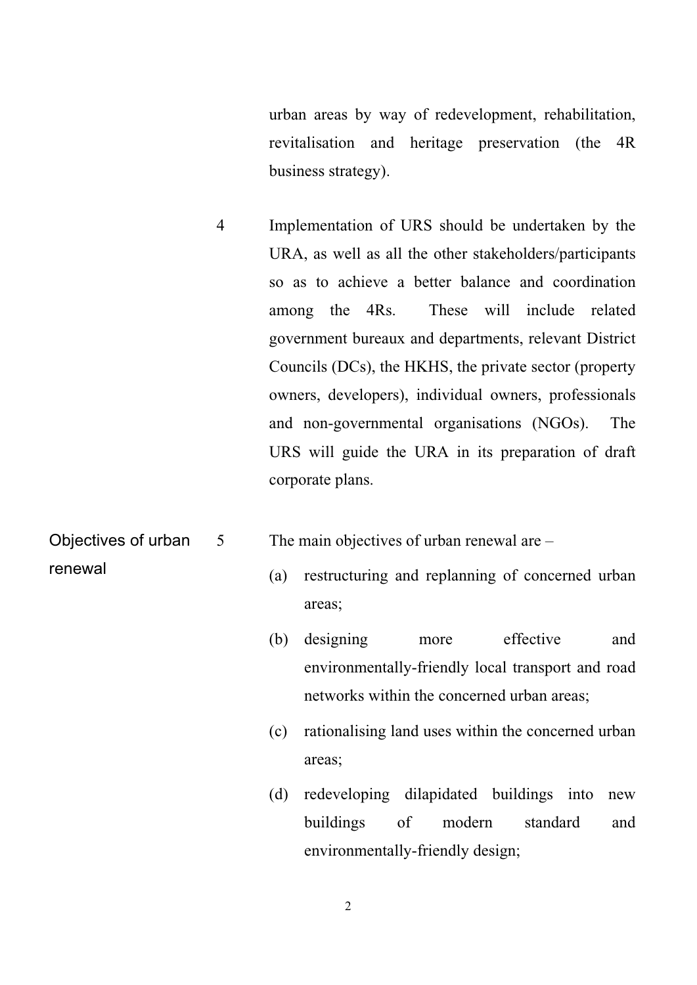urban areas by way of redevelopment, rehabilitation, revitalisation and heritage preservation (the 4R business strategy).

- 4 Implementation of URS should be undertaken by the URA, as well as all the other stakeholders/participants so as to achieve a better balance and coordination among the 4Rs. These will include related government bureaux and departments, relevant District Councils (DCs), the HKHS, the private sector (property owners, developers), individual owners, professionals and non-governmental organisations (NGOs). The URS will guide the URA in its preparation of draft corporate plans.
- 5 The main objectives of urban renewal are Objectives of urban

renewal

- (a) restructuring and replanning of concerned urban areas;
- (b) designing more effective and environmentally-friendly local transport and road networks within the concerned urban areas;
- (c) rationalising land uses within the concerned urban areas;
- (d) redeveloping dilapidated buildings into new buildings of modern standard and environmentally-friendly design;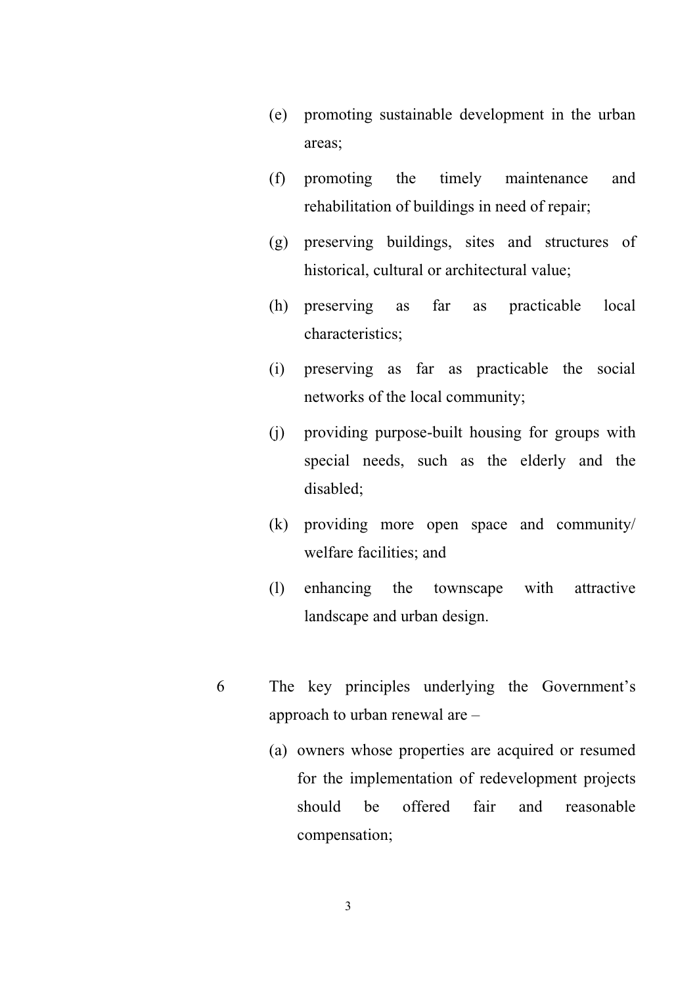- (e) promoting sustainable development in the urban areas;
- (f) promoting the timely maintenance and rehabilitation of buildings in need of repair;
- (g) preserving buildings, sites and structures of historical, cultural or architectural value;
- (h) preserving as far as practicable local characteristics;
- (i) preserving as far as practicable the social networks of the local community;
- (j) providing purpose-built housing for groups with special needs, such as the elderly and the disabled;
- (k) providing more open space and community/ welfare facilities; and
- (l) enhancing the townscape with attractive landscape and urban design.
- 6 The key principles underlying the Government's approach to urban renewal are –
	- (a) owners whose properties are acquired or resumed for the implementation of redevelopment projects should be offered fair and reasonable compensation;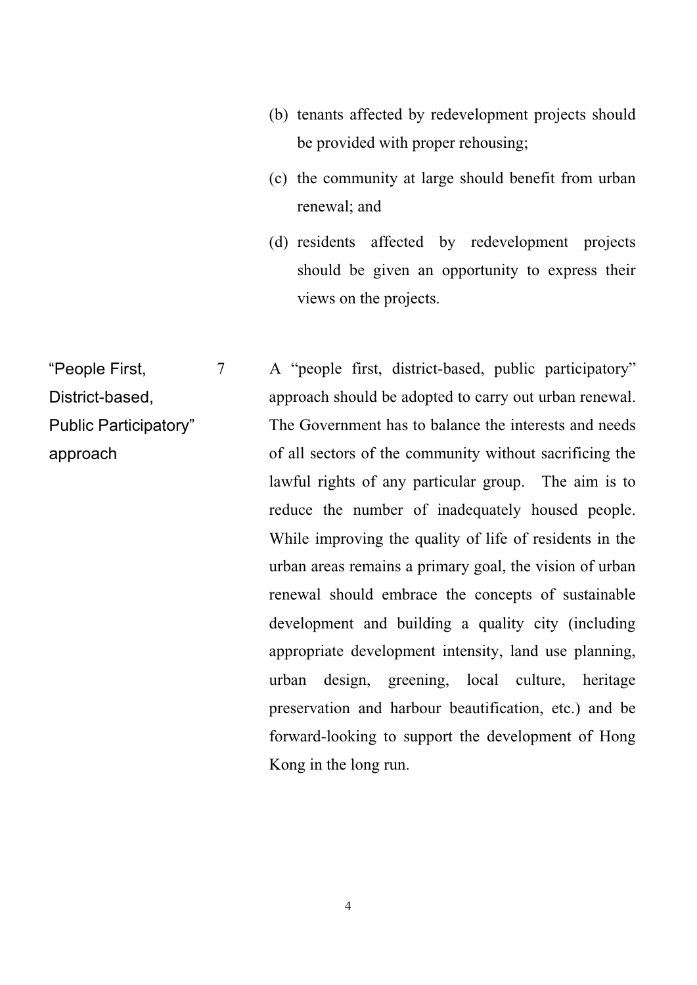- (b) tenants affected by redevelopment projects should be provided with proper rehousing;
- (c) the community at large should benefit from urban renewal; and
- (d) residents affected by redevelopment projects should be given an opportunity to express their views on the projects.

District-based, Public Participatory" approach should be adopted to carry out urban renewal. The Government has to balance the interests and needs of all sectors of the community without sacrificing the lawful rights of any particular group. The aim is to reduce the number of inadequately housed people. While improving the quality of life of residents in the urban areas remains a primary goal, the vision of urban renewal should embrace the concepts of sustainable development and building a quality city (including appropriate development intensity, land use planning, urban design, greening, local culture, heritage preservation and harbour beautification, etc.) and be forward-looking to support the development of Hong Kong in the long run. 7 A "people first, district-based, public participatory" "People First, approach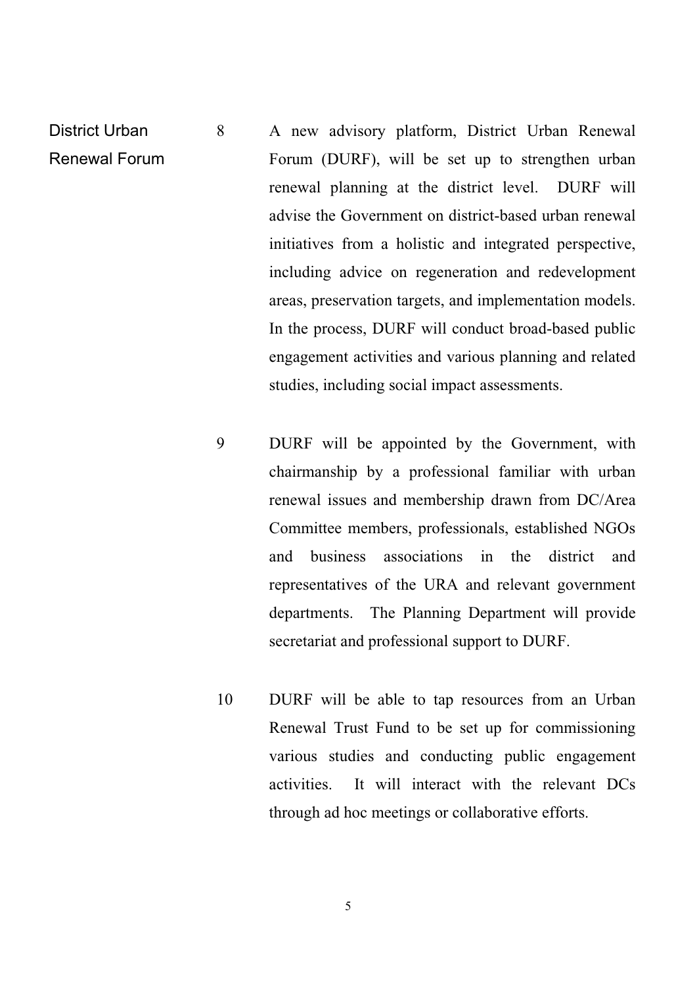- District Urban Renewal Forum 8 A new advisory platform, District Urban Renewal Forum (DURF), will be set up to strengthen urban renewal planning at the district level. DURF will advise the Government on district-based urban renewal initiatives from a holistic and integrated perspective, including advice on regeneration and redevelopment areas, preservation targets, and implementation models. In the process, DURF will conduct broad-based public engagement activities and various planning and related studies, including social impact assessments.
	- 9 DURF will be appointed by the Government, with chairmanship by a professional familiar with urban renewal issues and membership drawn from DC/Area Committee members, professionals, established NGOs and business associations in the district and representatives of the URA and relevant government departments. The Planning Department will provide secretariat and professional support to DURF.
	- 10 DURF will be able to tap resources from an Urban Renewal Trust Fund to be set up for commissioning various studies and conducting public engagement activities. It will interact with the relevant DCs through ad hoc meetings or collaborative efforts.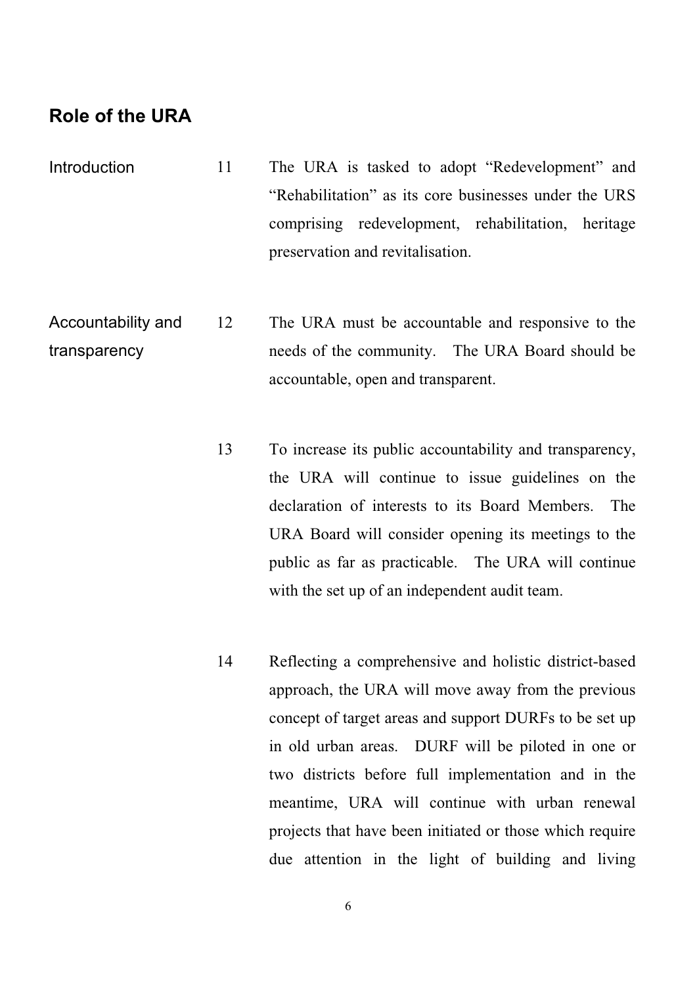#### **Role of the URA**

- Introduction 11 The URA is tasked to adopt "Redevelopment" and "Rehabilitation" as its core businesses under the URS comprising redevelopment, rehabilitation, heritage preservation and revitalisation.
- Accountability and transparency 12 The URA must be accountable and responsive to the needs of the community. The URA Board should be accountable, open and transparent.
	- 13 To increase its public accountability and transparency, the URA will continue to issue guidelines on the declaration of interests to its Board Members. The URA Board will consider opening its meetings to the public as far as practicable. The URA will continue with the set up of an independent audit team.
	- 14 Reflecting a comprehensive and holistic district-based approach, the URA will move away from the previous concept of target areas and support DURFs to be set up in old urban areas. DURF will be piloted in one or two districts before full implementation and in the meantime, URA will continue with urban renewal projects that have been initiated or those which require due attention in the light of building and living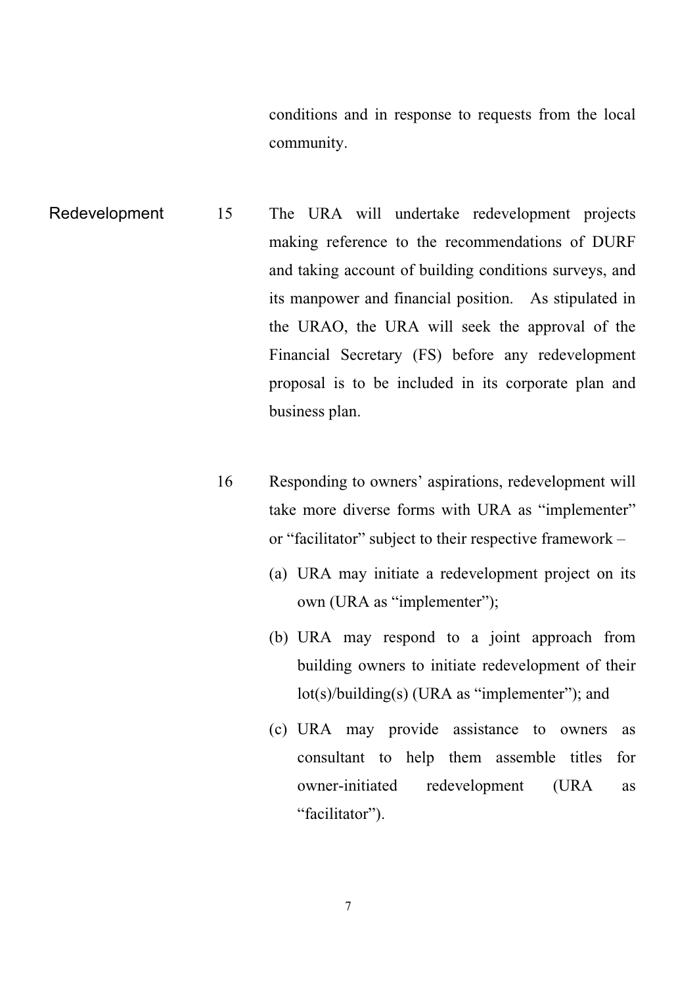conditions and in response to requests from the local community.

- Redevelopment 15 The URA will undertake redevelopment projects making reference to the recommendations of DURF and taking account of building conditions surveys, and its manpower and financial position. As stipulated in the URAO, the URA will seek the approval of the Financial Secretary (FS) before any redevelopment proposal is to be included in its corporate plan and business plan.
	- 16 Responding to owners' aspirations, redevelopment will take more diverse forms with URA as "implementer" or "facilitator" subject to their respective framework –
		- (a) URA may initiate a redevelopment project on its own (URA as "implementer");
		- (b) URA may respond to a joint approach from building owners to initiate redevelopment of their lot(s)/building(s) (URA as "implementer"); and
		- (c) URA may provide assistance to owners as consultant to help them assemble titles for owner-initiated redevelopment (URA as "facilitator").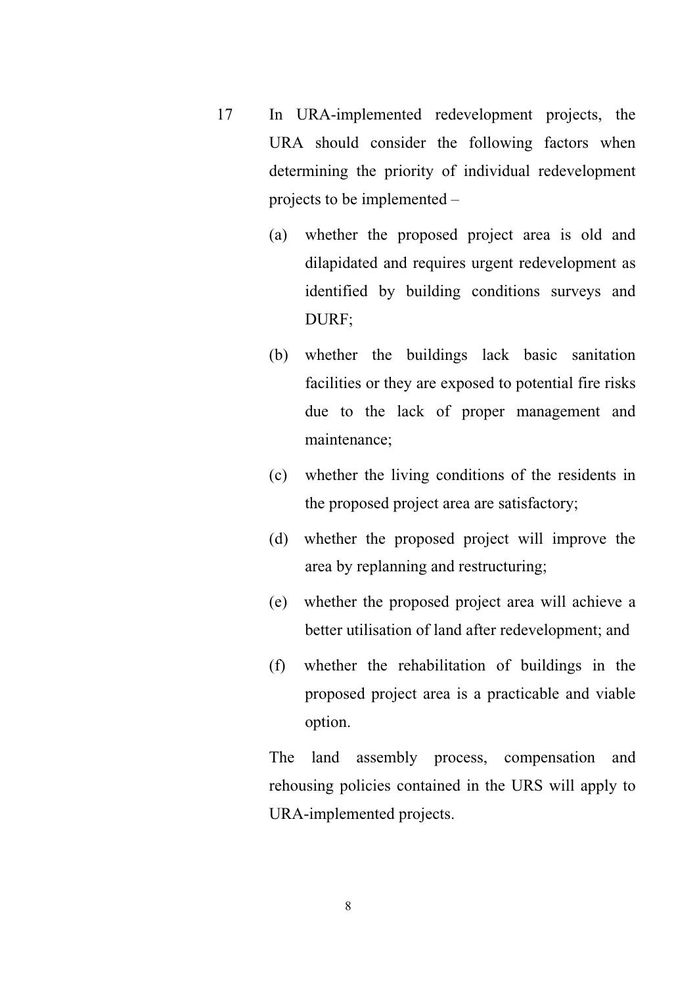- 17 In URA-implemented redevelopment projects, the URA should consider the following factors when determining the priority of individual redevelopment projects to be implemented –
	- (a) whether the proposed project area is old and dilapidated and requires urgent redevelopment as identified by building conditions surveys and DURF;
	- (b) whether the buildings lack basic sanitation facilities or they are exposed to potential fire risks due to the lack of proper management and maintenance;
	- (c) whether the living conditions of the residents in the proposed project area are satisfactory;
	- (d) whether the proposed project will improve the area by replanning and restructuring;
	- (e) whether the proposed project area will achieve a better utilisation of land after redevelopment; and
	- (f) whether the rehabilitation of buildings in the proposed project area is a practicable and viable option.

 The land assembly process, compensation and rehousing policies contained in the URS will apply to URA-implemented projects.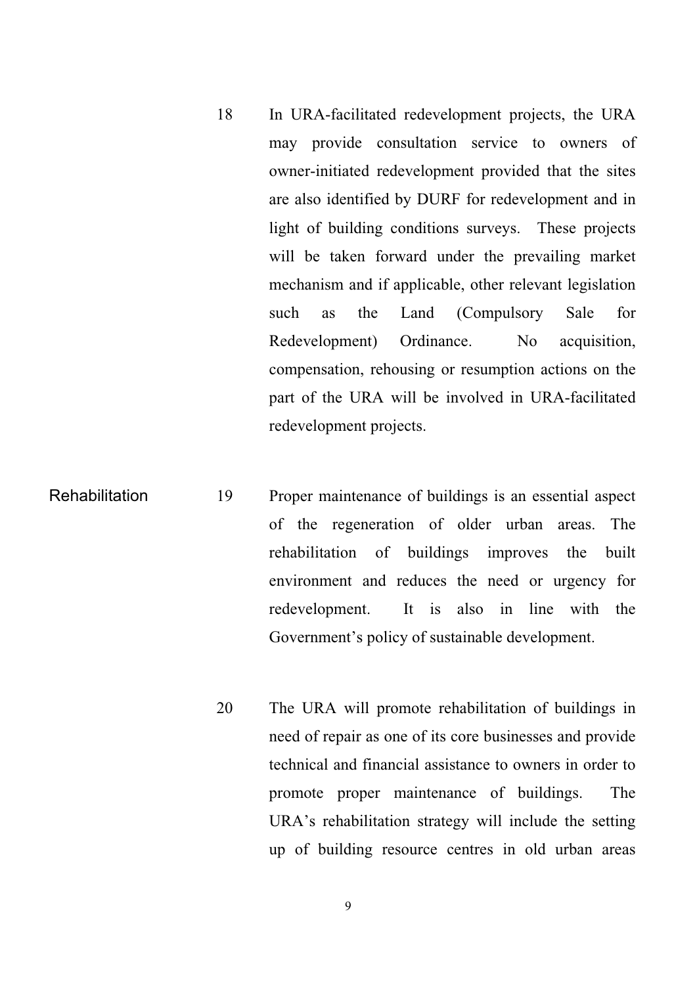- 18 In URA-facilitated redevelopment projects, the URA may provide consultation service to owners of owner-initiated redevelopment provided that the sites are also identified by DURF for redevelopment and in light of building conditions surveys. These projects will be taken forward under the prevailing market mechanism and if applicable, other relevant legislation such as the Land (Compulsory Sale for Redevelopment) Ordinance. No acquisition, compensation, rehousing or resumption actions on the part of the URA will be involved in URA-facilitated redevelopment projects.
- Rehabilitation 19 Proper maintenance of buildings is an essential aspect of the regeneration of older urban areas. The rehabilitation of buildings improves the built environment and reduces the need or urgency for redevelopment. It is also in line with the Government's policy of sustainable development.
	- 20 The URA will promote rehabilitation of buildings in need of repair as one of its core businesses and provide technical and financial assistance to owners in order to promote proper maintenance of buildings. The URA's rehabilitation strategy will include the setting up of building resource centres in old urban areas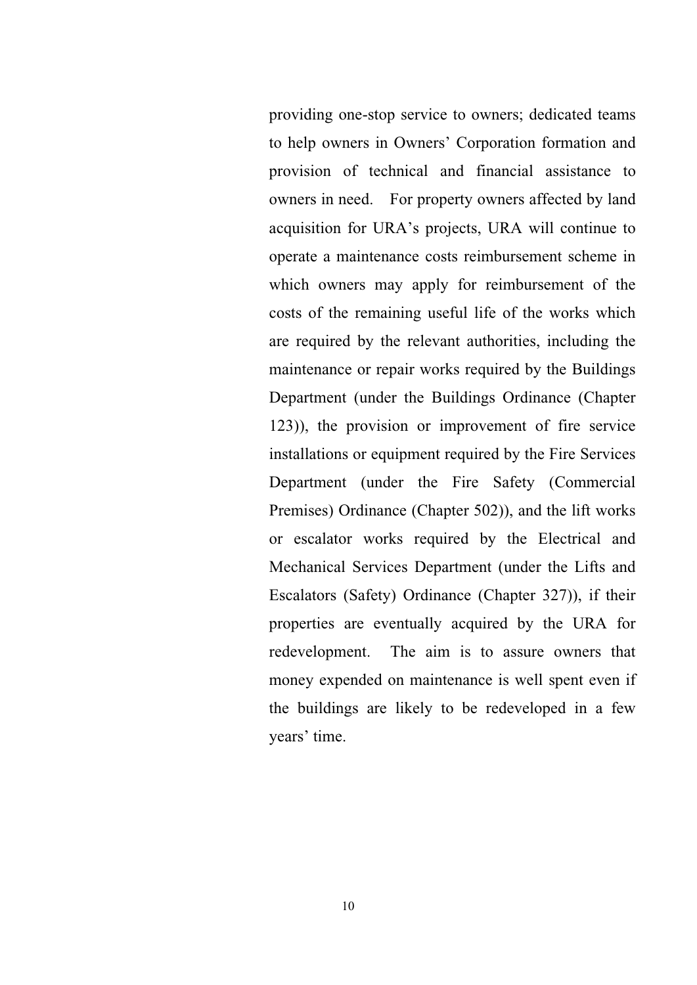providing one-stop service to owners; dedicated teams to help owners in Owners' Corporation formation and provision of technical and financial assistance to owners in need. For property owners affected by land acquisition for URA's projects, URA will continue to operate a maintenance costs reimbursement scheme in which owners may apply for reimbursement of the costs of the remaining useful life of the works which are required by the relevant authorities, including the maintenance or repair works required by the Buildings Department (under the Buildings Ordinance (Chapter 123)), the provision or improvement of fire service installations or equipment required by the Fire Services Department (under the Fire Safety (Commercial Premises) Ordinance (Chapter 502)), and the lift works or escalator works required by the Electrical and Mechanical Services Department (under the Lifts and Escalators (Safety) Ordinance (Chapter 327)), if their properties are eventually acquired by the URA for redevelopment. The aim is to assure owners that money expended on maintenance is well spent even if the buildings are likely to be redeveloped in a few years' time.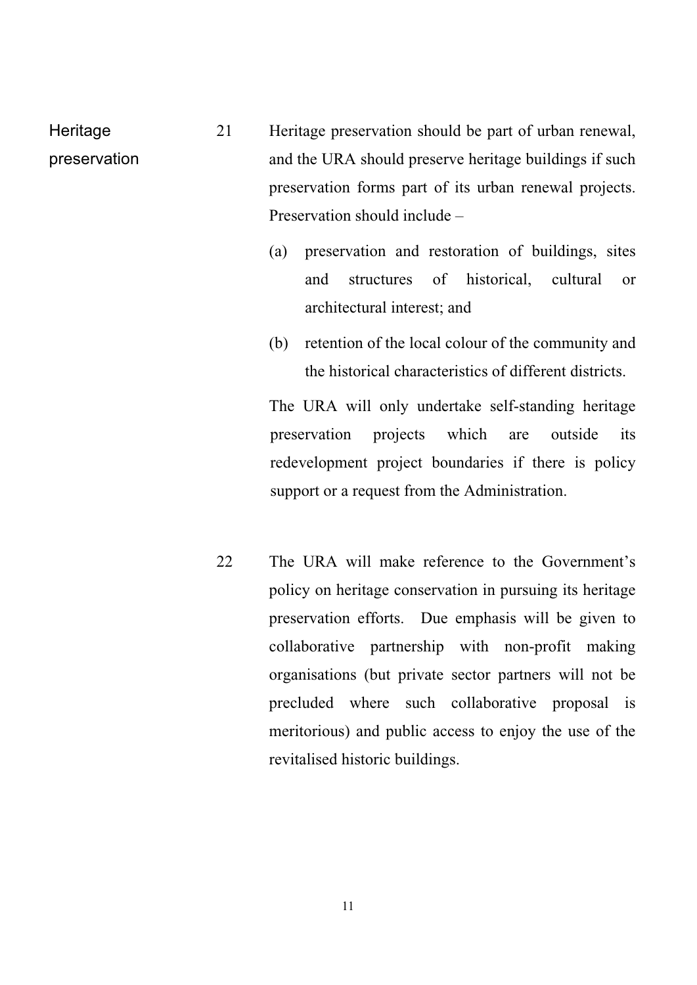- Heritage preservation 21 Heritage preservation should be part of urban renewal, and the URA should preserve heritage buildings if such preservation forms part of its urban renewal projects. Preservation should include –
	- (a) preservation and restoration of buildings, sites and structures of historical, cultural or architectural interest; and
	- (b) retention of the local colour of the community and the historical characteristics of different districts.

 The URA will only undertake self-standing heritage preservation projects which are outside its redevelopment project boundaries if there is policy support or a request from the Administration.

22 The URA will make reference to the Government's policy on heritage conservation in pursuing its heritage preservation efforts. Due emphasis will be given to collaborative partnership with non-profit making organisations (but private sector partners will not be precluded where such collaborative proposal is meritorious) and public access to enjoy the use of the revitalised historic buildings.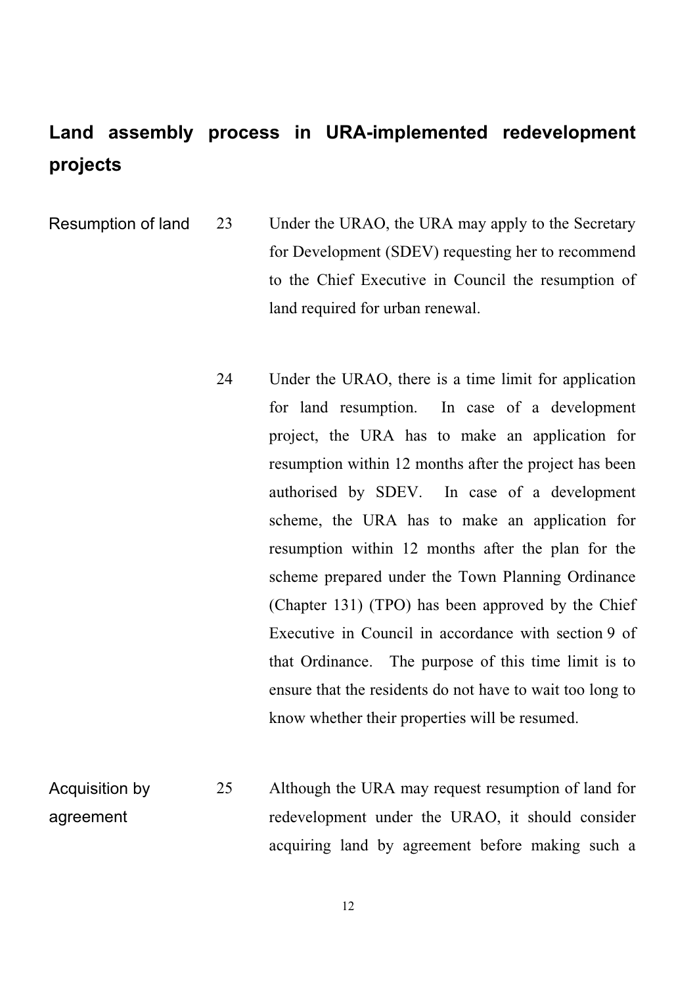### **Land assembly process in URA-implemented redevelopment projects**

23 Under the URAO, the URA may apply to the Secretary for Development (SDEV) requesting her to recommend to the Chief Executive in Council the resumption of land required for urban renewal. Resumption of land

> 24 Under the URAO, there is a time limit for application for land resumption. In case of a development project, the URA has to make an application for resumption within 12 months after the project has been authorised by SDEV. In case of a development scheme, the URA has to make an application for resumption within 12 months after the plan for the scheme prepared under the Town Planning Ordinance (Chapter 131) (TPO) has been approved by the Chief Executive in Council in accordance with section 9 of that Ordinance. The purpose of this time limit is to ensure that the residents do not have to wait too long to know whether their properties will be resumed.

Acquisition by agreement 25 Although the URA may request resumption of land for redevelopment under the URAO, it should consider acquiring land by agreement before making such a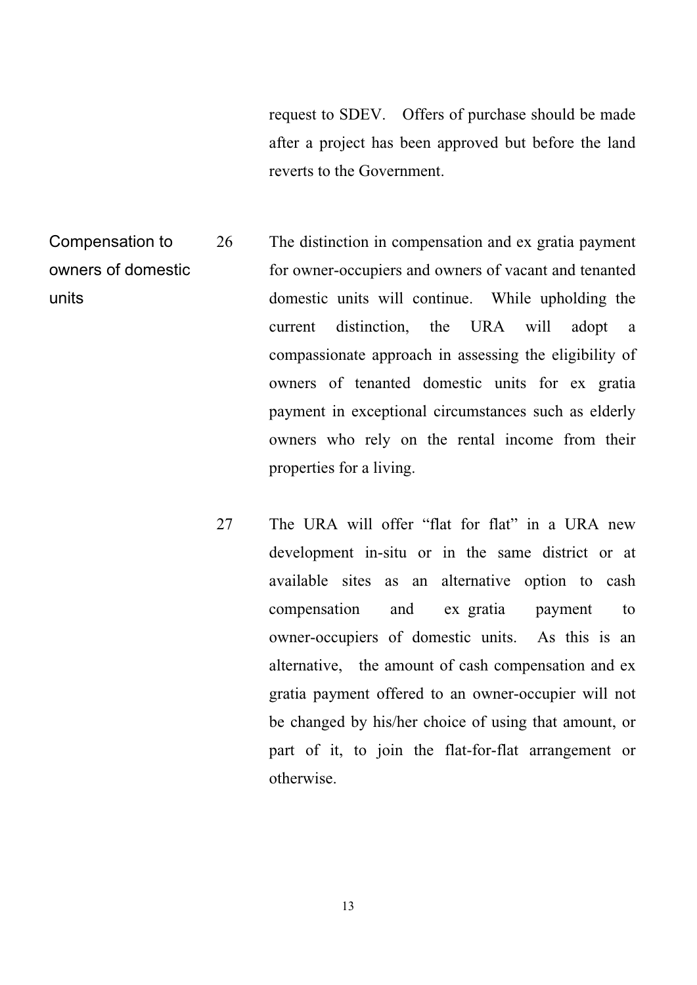request to SDEV. Offers of purchase should be made after a project has been approved but before the land reverts to the Government.

Compensation to 26 The distinction in compensation and ex gratia payment for owner-occupiers and owners of vacant and tenanted domestic units will continue. While upholding the current distinction, the URA will adopt a compassionate approach in assessing the eligibility of owners of tenanted domestic units for ex gratia payment in exceptional circumstances such as elderly owners who rely on the rental income from their properties for a living. owners of domestic units

> 27 The URA will offer "flat for flat" in a URA new development in-situ or in the same district or at available sites as an alternative option to cash owner-occupiers of domestic units. As this is an alternative, the amount of cash compensation and ex gratia payment offered to an owner-occupier will not be changed by his/her choice of using that amount, or part of it, to join the flat-for-flat arrangement or otherwise. compensation and ex gratia payment to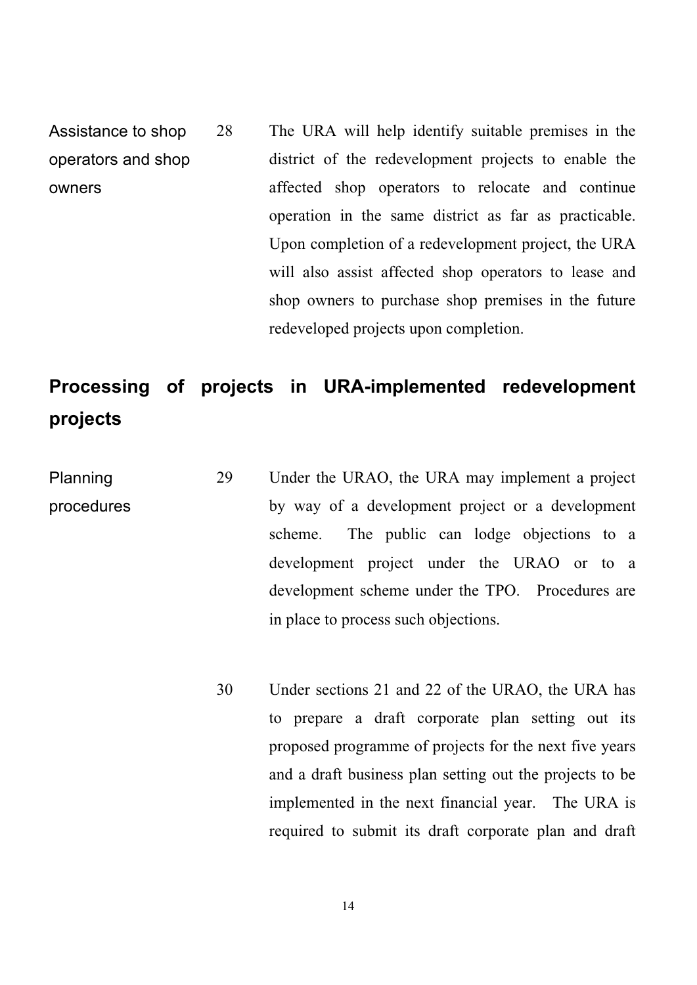28 The URA will help identify suitable premises in the district of the redevelopment projects to enable the affected shop operators to relocate and continue operation in the same district as far as practicable. Upon completion of a redevelopment project, the URA will also assist affected shop operators to lease and shop owners to purchase shop premises in the future redeveloped projects upon completion. Assistance to shop operators and shop owners

## **Processing of projects in URA-implemented redevelopment projects**

- Planning procedures 29 Under the URAO, the URA may implement a project by way of a development project or a development scheme. The public can lodge objections to a development project under the URAO or to a development scheme under the TPO. Procedures are in place to process such objections.
	- 30 Under sections 21 and 22 of the URAO, the URA has to prepare a draft corporate plan setting out its proposed programme of projects for the next five years and a draft business plan setting out the projects to be implemented in the next financial year. The URA is required to submit its draft corporate plan and draft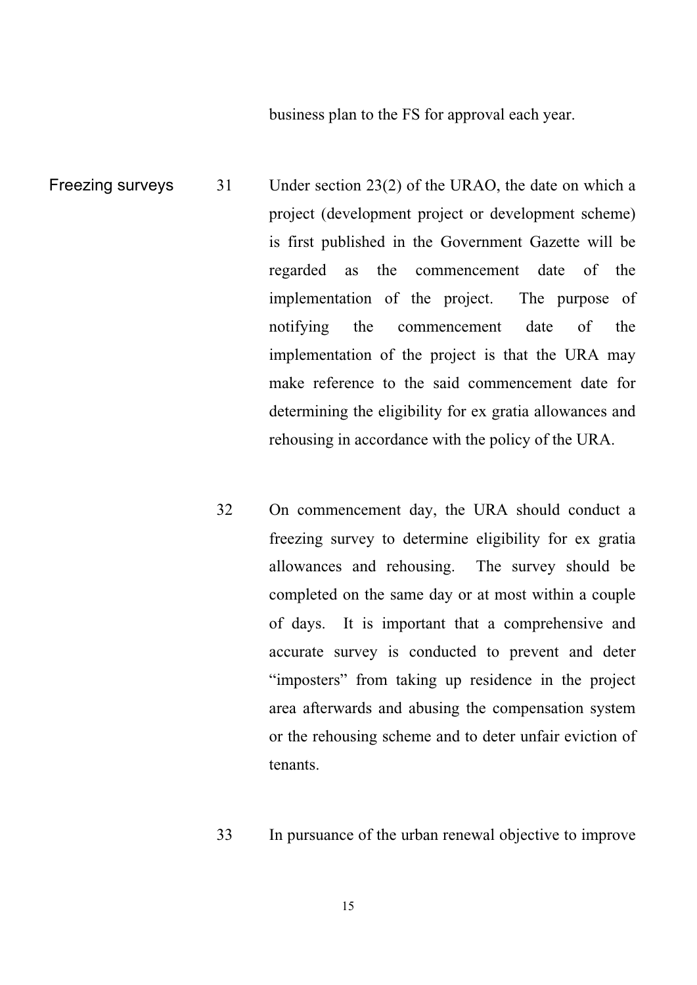business plan to the FS for approval each year.

- Freezing surveys 31 Under section 23(2) of the URAO, the date on which a project (development project or development scheme) is first published in the Government Gazette will be regarded as the commencement date of the implementation of the project. The purpose of notifying the commencement date of the implementation of the project is that the URA may make reference to the said commencement date for determining the eligibility for ex gratia allowances and rehousing in accordance with the policy of the URA.
	- 32 On commencement day, the URA should conduct a freezing survey to determine eligibility for ex gratia allowances and rehousing. The survey should be completed on the same day or at most within a couple of days. It is important that a comprehensive and accurate survey is conducted to prevent and deter "imposters" from taking up residence in the project area afterwards and abusing the compensation system or the rehousing scheme and to deter unfair eviction of tenants.
	- 33 In pursuance of the urban renewal objective to improve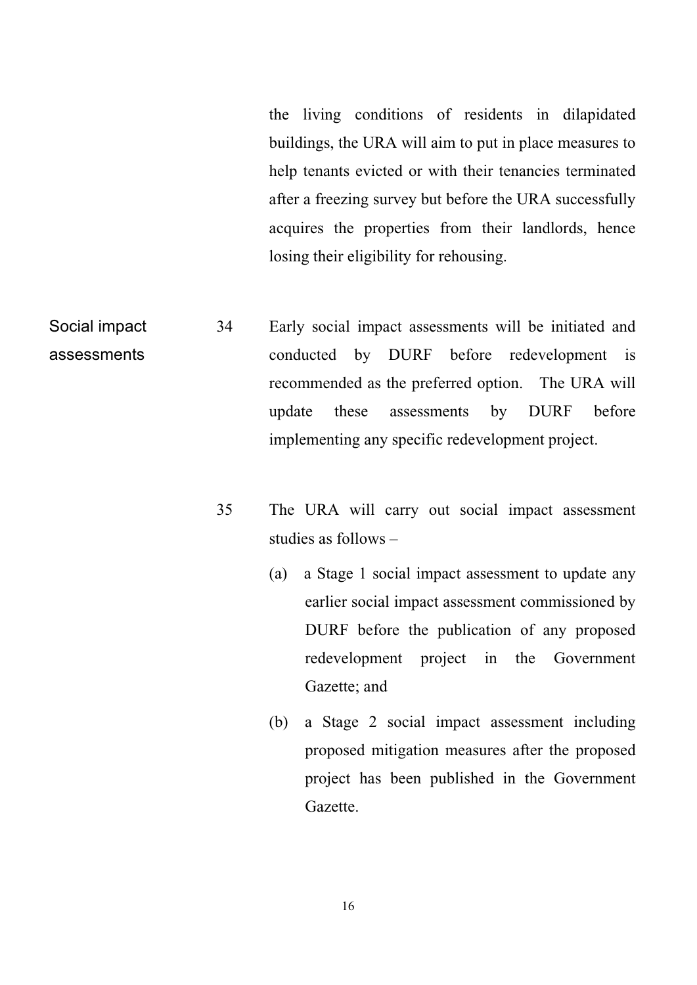the living conditions of residents in dilapidated buildings, the URA will aim to put in place measures to help tenants evicted or with their tenancies terminated after a freezing survey but before the URA successfully acquires the properties from their landlords, hence losing their eligibility for rehousing.

- Social impact 34 Early social impact assessments will be initiated and conducted by DURF before redevelopment is recommended as the preferred option. The URA will update these assessments by DURF before implementing any specific redevelopment project. assessments
	- 35 The URA will carry out social impact assessment studies as follows –
		- (a) a Stage 1 social impact assessment to update any earlier social impact assessment commissioned by DURF before the publication of any proposed redevelopment project in the Government Gazette; and
		- (b) a Stage 2 social impact assessment including proposed mitigation measures after the proposed project has been published in the Government Gazette.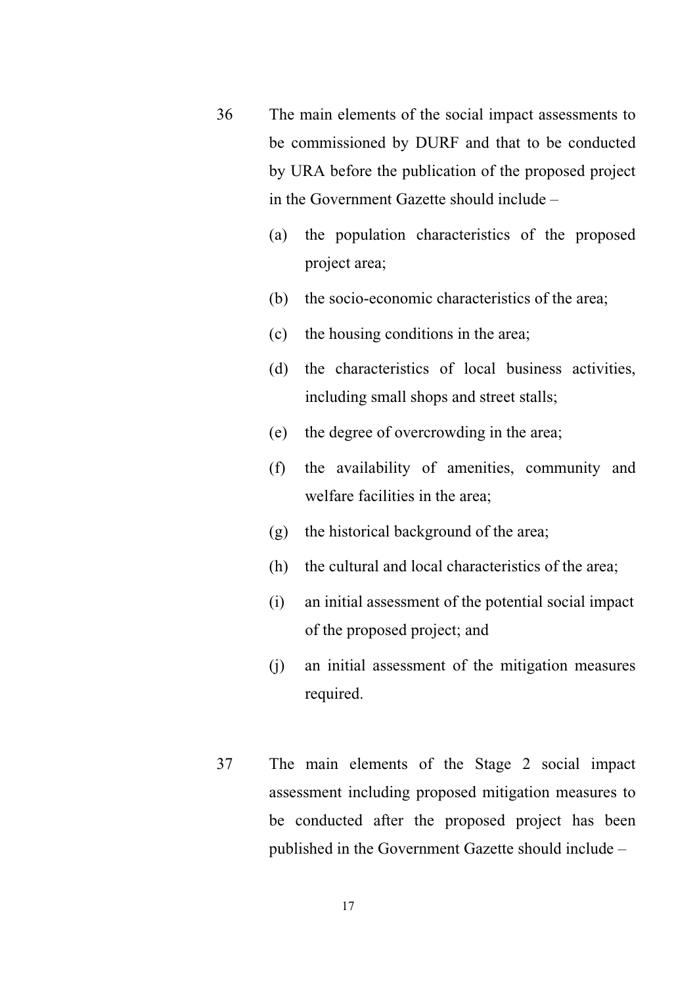- 36 The main elements of the social impact assessments to be commissioned by DURF and that to be conducted by URA before the publication of the proposed project in the Government Gazette should include –
	- (a) the population characteristics of the proposed project area;
	- (b) the socio-economic characteristics of the area;
	- (c) the housing conditions in the area;
	- (d) the characteristics of local business activities, including small shops and street stalls;
	- (e) the degree of overcrowding in the area;
	- (f) the availability of amenities, community and welfare facilities in the area;
	- (g) the historical background of the area;
	- (h) the cultural and local characteristics of the area;
	- (i) an initial assessment of the potential social impact of the proposed project; and
	- (j) an initial assessment of the mitigation measures required.
- 37 The main elements of the Stage 2 social impact assessment including proposed mitigation measures to be conducted after the proposed project has been published in the Government Gazette should include –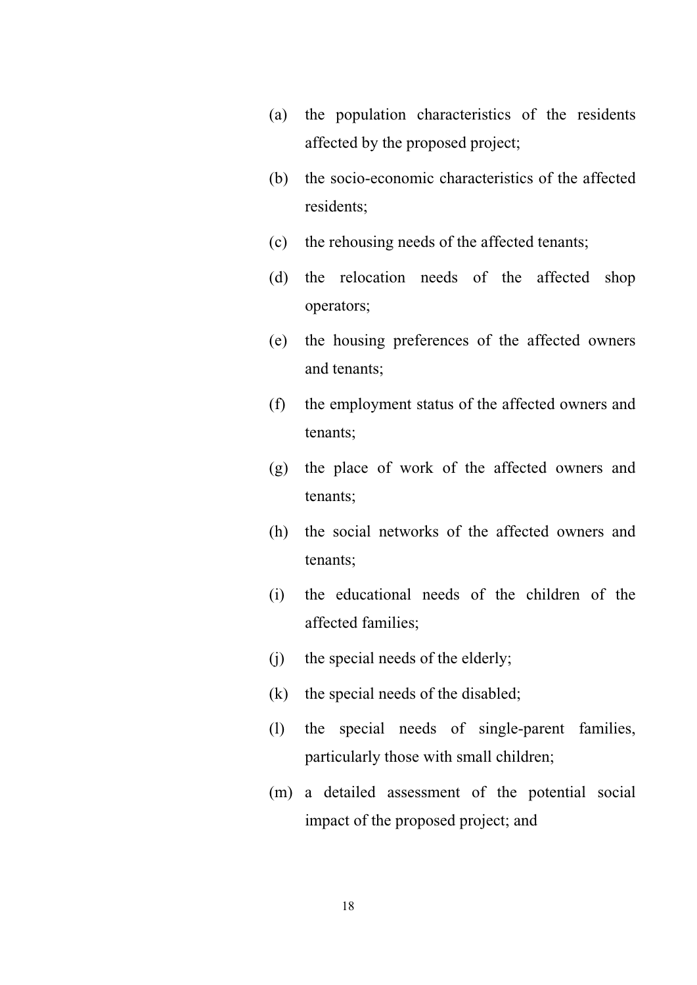- (a) the population characteristics of the residents affected by the proposed project;
- (b) the socio-economic characteristics of the affected residents;
- (c) the rehousing needs of the affected tenants;
- (d) the relocation needs of the affected shop operators;
- (e) the housing preferences of the affected owners and tenants;
- (f) the employment status of the affected owners and tenants;
- (g) the place of work of the affected owners and tenants;
- (h) the social networks of the affected owners and tenants;
- (i) the educational needs of the children of the affected families;
- (j) the special needs of the elderly;
- (k) the special needs of the disabled;
- (l) the special needs of single-parent families, particularly those with small children;
- (m) a detailed assessment of the potential social impact of the proposed project; and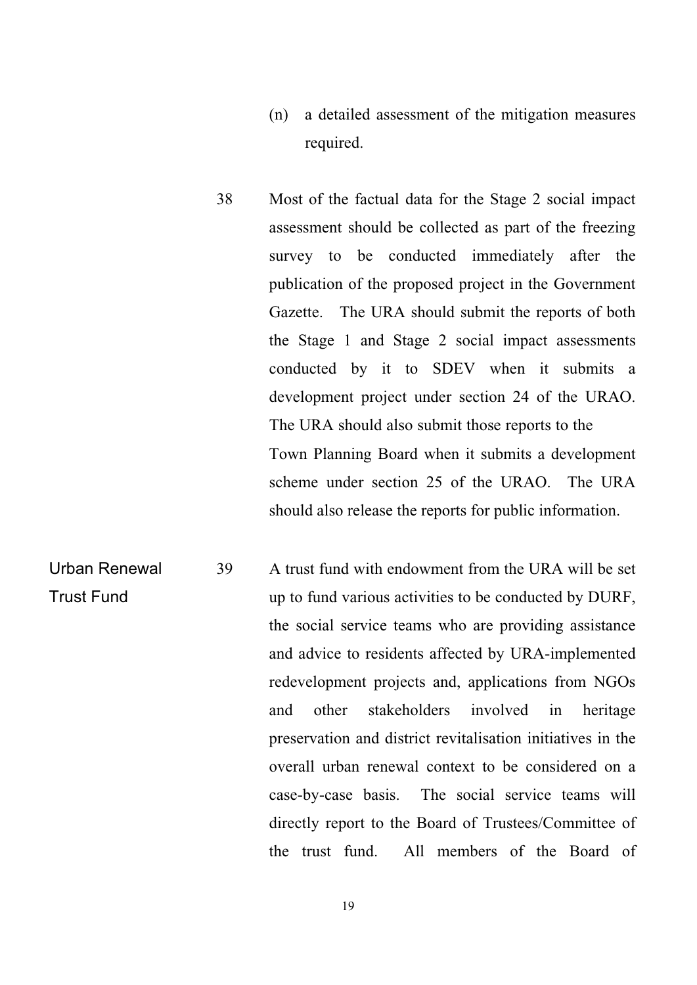- (n) a detailed assessment of the mitigation measures required.
- 38 Most of the factual data for the Stage 2 social impact assessment should be collected as part of the freezing survey to be conducted immediately after the publication of the proposed project in the Government Gazette. The URA should submit the reports of both the Stage 1 and Stage 2 social impact assessments conducted by it to SDEV when it submits a development project under section 24 of the URAO. Town Planning Board when it submits a development scheme under section 25 of the URAO. The URA should also release the reports for public information. The URA should also submit those reports to the
- Urban Renewal Trust Fund 39 A trust fund with endowment from the URA will be set up to fund various activities to be conducted by DURF, the social service teams who are providing assistance and advice to residents affected by URA-implemented redevelopment projects and, applications from NGOs and other stakeholders involved in heritage preservation and district revitalisation initiatives in the overall urban renewal context to be considered on a case-by-case basis. The social service teams will directly report to the Board of Trustees/Committee of the trust fund. All members of the Board of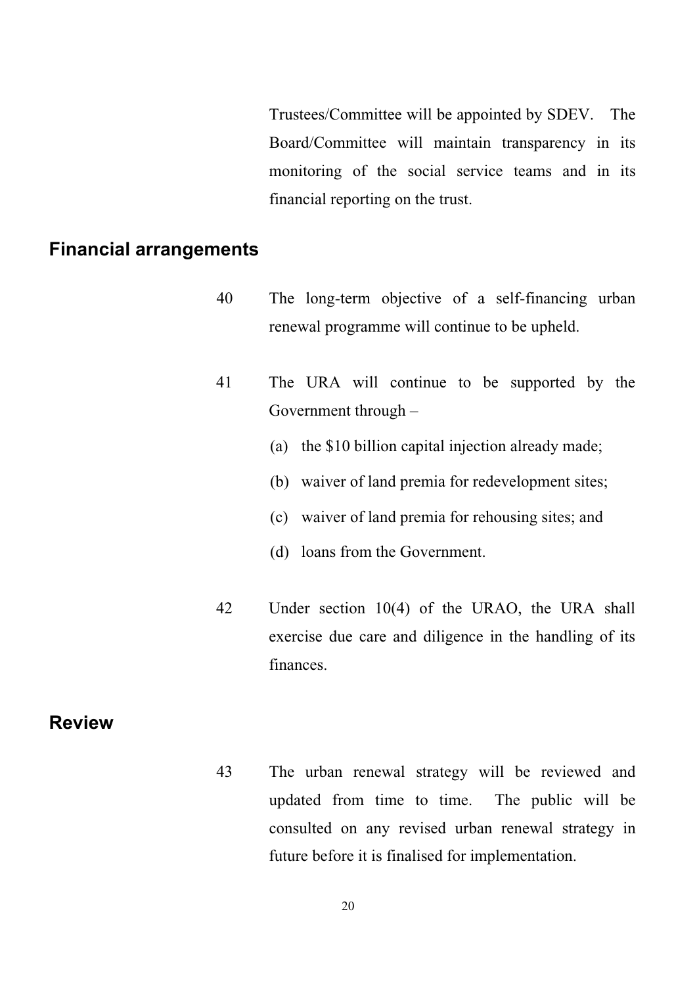Trustees/Committee will be appointed by SDEV. The Board/Committee will maintain transparency in its monitoring of the social service teams and in its financial reporting on the trust.

#### **Financial arrangements**

- 40 The long-term objective of a self-financing urban renewal programme will continue to be upheld.
- 41 The URA will continue to be supported by the Government through –
	- (a) the \$10 billion capital injection already made;
	- (b) waiver of land premia for redevelopment sites;
	- (c) waiver of land premia for rehousing sites; and
	- (d) loans from the Government.
- 42 Under section 10(4) of the URAO, the URA shall exercise due care and diligence in the handling of its finances.

#### **Review**

43 The urban renewal strategy will be reviewed and updated from time to time. The public will be consulted on any revised urban renewal strategy in future before it is finalised for implementation.